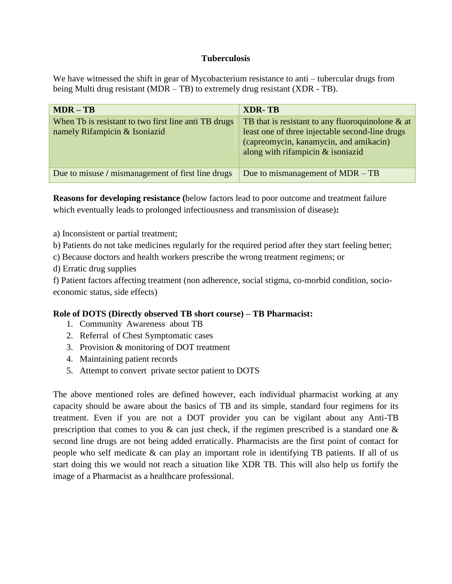### **Tuberculosis**

We have witnessed the shift in gear of Mycobacterium resistance to anti – tubercular drugs from being Multi drug resistant (MDR – TB) to extremely drug resistant (XDR - TB).

| $MDR - TB$                                                                            | <b>XDR-TB</b>                                                                                                                                                                           |
|---------------------------------------------------------------------------------------|-----------------------------------------------------------------------------------------------------------------------------------------------------------------------------------------|
| When Tb is resistant to two first line anti TB drugs<br>namely Rifampicin & Isoniazid | TB that is resistant to any fluoroquinolone $\&$ at<br>least one of three injectable second-line drugs<br>(capreomycin, kanamycin, and amikacin)<br>along with rifampicin $&$ isoniazid |
| Due to misuse / mismanagement of first line drugs                                     | Due to mismanagement of $MDR - TB$                                                                                                                                                      |

**Reasons for developing resistance (**below factors lead to poor outcome and treatment failure which eventually leads to prolonged infectiousness and transmission of disease)**:**

a) Inconsistent or partial treatment;

b) Patients do not take medicines regularly for the required period after they start feeling better;

c) Because doctors and health workers prescribe the wrong treatment regimens; or

d) Erratic drug supplies

f) Patient factors affecting treatment (non adherence, social stigma, co-morbid condition, socioeconomic status, side effects)

# **Role of DOTS (Directly observed TB short course) – TB Pharmacist:**

- 1. Community Awareness about TB
- 2. Referral of Chest Symptomatic cases
- 3. Provision & monitoring of DOT treatment
- 4. Maintaining patient records
- 5. Attempt to convert private sector patient to DOTS

The above mentioned roles are defined however, each individual pharmacist working at any capacity should be aware about the basics of TB and its simple, standard four regimens for its treatment. Even if you are not a DOT provider you can be vigilant about any Anti-TB prescription that comes to you & can just check, if the regimen prescribed is a standard one & second line drugs are not being added erratically. Pharmacists are the first point of contact for people who self medicate & can play an important role in identifying TB patients. If all of us start doing this we would not reach a situation like XDR TB. This will also help us fortify the image of a Pharmacist as a healthcare professional.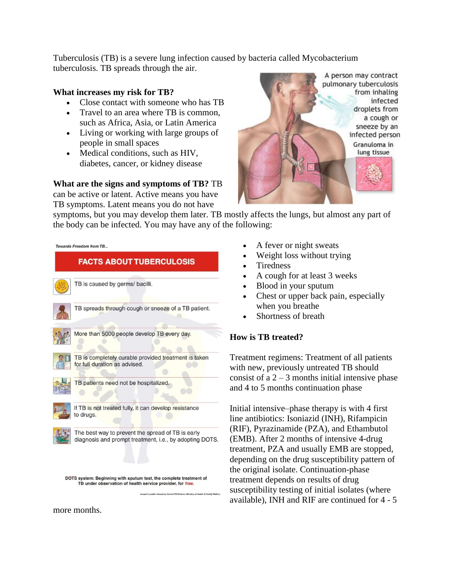Tuberculosis (TB) is a severe lung infection caused by bacteria called Mycobacterium tuberculosis. TB spreads through the air.

#### **What increases my risk for TB?**

- Close contact with someone who has TB
- Travel to an area where TB is common, such as Africa, Asia, or Latin America
- Living or working with large groups of people in small spaces
- Medical conditions, such as HIV, diabetes, cancer, or kidney disease

#### **What are the signs and symptoms of TB?** TB

can be active or latent. Active means you have TB symptoms. Latent means you do not have



symptoms, but you may develop them later. TB mostly affects the lungs, but almost any part of the body can be infected. You may have any of the following:



more months.

- A fever or night sweats
- Weight loss without trying
- Tiredness
- A cough for at least 3 weeks
- Blood in your sputum
- Chest or upper back pain, especially when you breathe
- Shortness of breath

# **How is TB treated?**

Treatment regimens: Treatment of all patients with new, previously untreated TB should consist of a  $2 - 3$  months initial intensive phase and 4 to 5 months continuation phase

Initial intensive–phase therapy is with 4 first line antibiotics: Isoniazid (INH), Rifampicin (RIF), Pyrazinamide (PZA), and Ethambutol (EMB). After 2 months of intensive 4-drug treatment, PZA and usually EMB are stopped, depending on the drug susceptibility pattern of the original isolate. Continuation-phase treatment depends on results of drug susceptibility testing of initial isolates (where available), INH and RIF are continued for 4 - 5